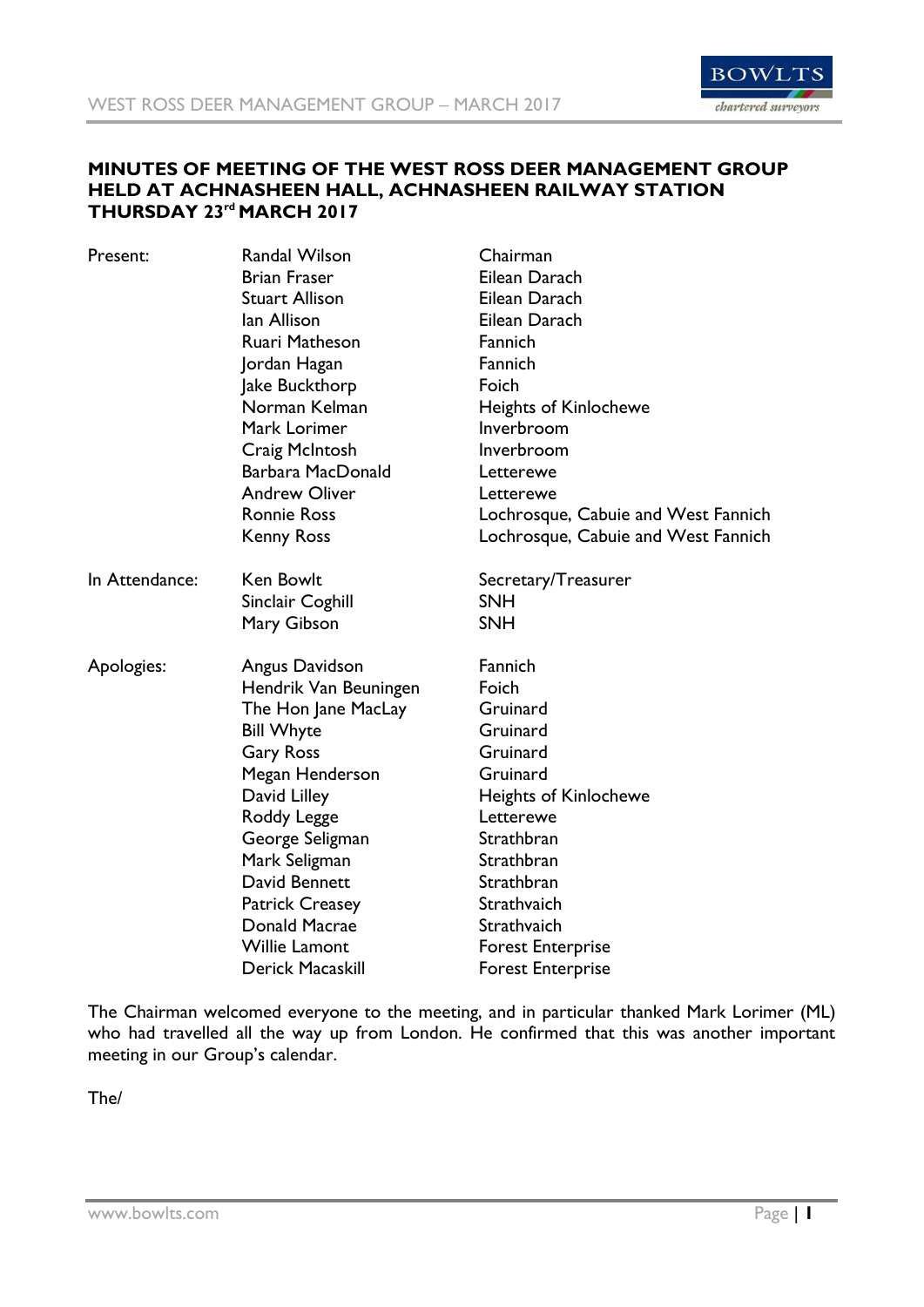

## **MINUTES OF MEETING OF THE WEST ROSS DEER MANAGEMENT GROUP HELD AT ACHNASHEEN HALL, ACHNASHEEN RAILWAY STATION THURSDAY 23rd MARCH 2017**

| Present:       | <b>Randal Wilson</b>   | Chairman                            |
|----------------|------------------------|-------------------------------------|
|                | <b>Brian Fraser</b>    | Eilean Darach                       |
|                | <b>Stuart Allison</b>  | Eilean Darach                       |
|                | lan Allison            | Eilean Darach                       |
|                | Ruari Matheson         | Fannich                             |
|                | Jordan Hagan           | Fannich                             |
|                | Jake Buckthorp         | Foich                               |
|                | Norman Kelman          | <b>Heights of Kinlochewe</b>        |
|                | Mark Lorimer           | Inverbroom                          |
|                | Craig McIntosh         | Inverbroom                          |
|                | Barbara MacDonald      | Letterewe                           |
|                | <b>Andrew Oliver</b>   | Letterewe                           |
|                | <b>Ronnie Ross</b>     | Lochrosque, Cabuie and West Fannich |
|                | <b>Kenny Ross</b>      | Lochrosque, Cabuie and West Fannich |
| In Attendance: | <b>Ken Bowlt</b>       | Secretary/Treasurer                 |
|                | Sinclair Coghill       | <b>SNH</b>                          |
|                | Mary Gibson            | <b>SNH</b>                          |
| Apologies:     | Angus Davidson         | Fannich                             |
|                | Hendrik Van Beuningen  | Foich                               |
|                | The Hon Jane MacLay    | Gruinard                            |
|                | <b>Bill Whyte</b>      | Gruinard                            |
|                | <b>Gary Ross</b>       | Gruinard                            |
|                | Megan Henderson        | Gruinard                            |
|                | David Lilley           | <b>Heights of Kinlochewe</b>        |
|                | Roddy Legge            | Letterewe                           |
|                | George Seligman        | Strathbran                          |
|                | Mark Seligman          | Strathbran                          |
|                | David Bennett          | Strathbran                          |
|                | <b>Patrick Creasey</b> | Strathvaich                         |
|                | Donald Macrae          | Strathvaich                         |
|                | <b>Willie Lamont</b>   | <b>Forest Enterprise</b>            |
|                | Derick Macaskill       | <b>Forest Enterprise</b>            |

The Chairman welcomed everyone to the meeting, and in particular thanked Mark Lorimer (ML) who had travelled all the way up from London. He confirmed that this was another important meeting in our Group's calendar.

The/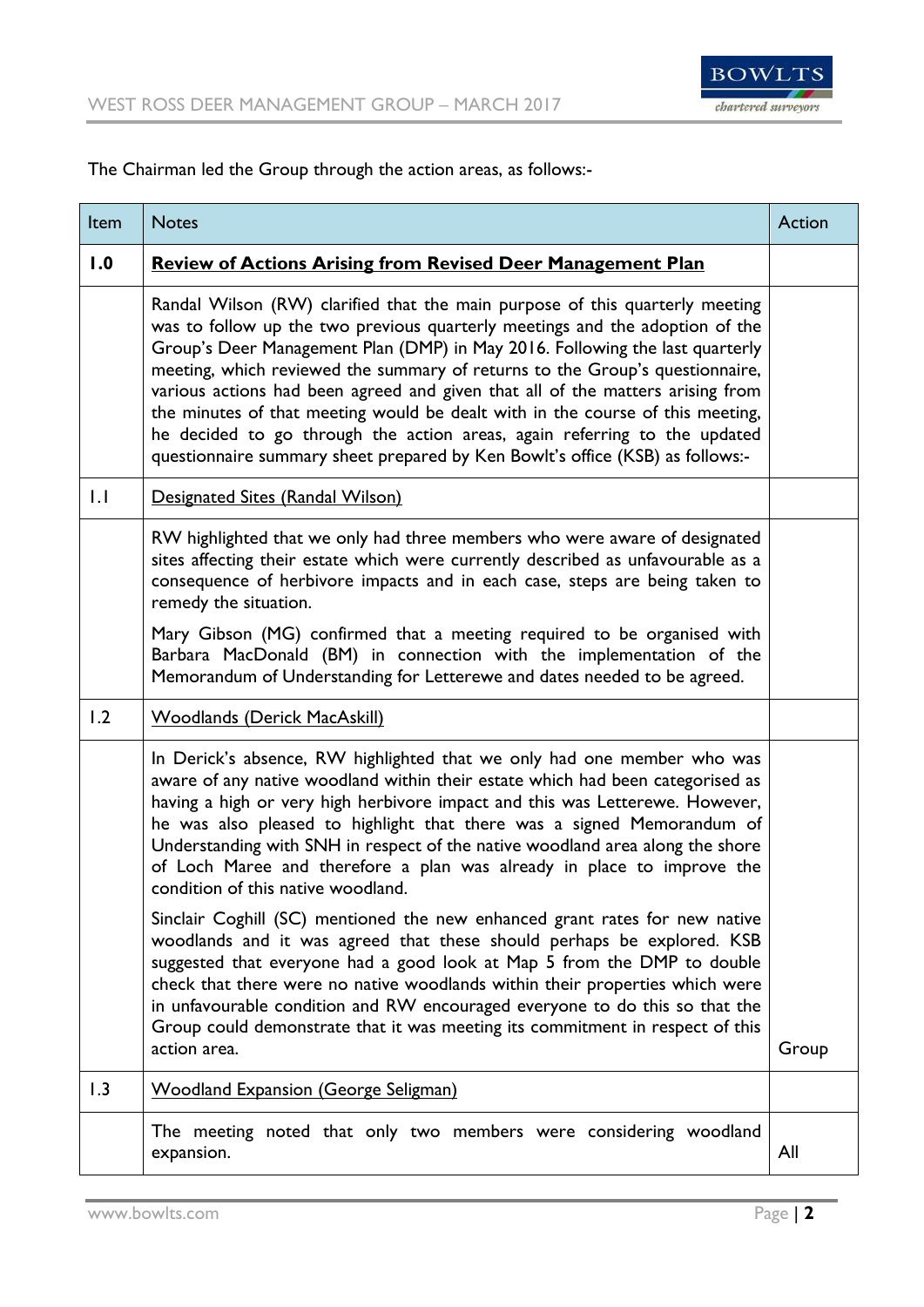

The Chairman led the Group through the action areas, as follows:-

| Item         | <b>Notes</b>                                                                                                                                                                                                                                                                                                                                                                                                                                                                                                                                                                                                                                                   | Action |
|--------------|----------------------------------------------------------------------------------------------------------------------------------------------------------------------------------------------------------------------------------------------------------------------------------------------------------------------------------------------------------------------------------------------------------------------------------------------------------------------------------------------------------------------------------------------------------------------------------------------------------------------------------------------------------------|--------|
| 1.0          | <b>Review of Actions Arising from Revised Deer Management Plan</b>                                                                                                                                                                                                                                                                                                                                                                                                                                                                                                                                                                                             |        |
|              | Randal Wilson (RW) clarified that the main purpose of this quarterly meeting<br>was to follow up the two previous quarterly meetings and the adoption of the<br>Group's Deer Management Plan (DMP) in May 2016. Following the last quarterly<br>meeting, which reviewed the summary of returns to the Group's questionnaire,<br>various actions had been agreed and given that all of the matters arising from<br>the minutes of that meeting would be dealt with in the course of this meeting,<br>he decided to go through the action areas, again referring to the updated<br>questionnaire summary sheet prepared by Ken Bowlt's office (KSB) as follows:- |        |
| $\mathsf{L}$ | Designated Sites (Randal Wilson)                                                                                                                                                                                                                                                                                                                                                                                                                                                                                                                                                                                                                               |        |
|              | RW highlighted that we only had three members who were aware of designated<br>sites affecting their estate which were currently described as unfavourable as a<br>consequence of herbivore impacts and in each case, steps are being taken to<br>remedy the situation.                                                                                                                                                                                                                                                                                                                                                                                         |        |
|              | Mary Gibson (MG) confirmed that a meeting required to be organised with<br>Barbara MacDonald (BM) in connection with the implementation of the<br>Memorandum of Understanding for Letterewe and dates needed to be agreed.                                                                                                                                                                                                                                                                                                                                                                                                                                     |        |
| 1.2          | <b>Woodlands (Derick MacAskill)</b>                                                                                                                                                                                                                                                                                                                                                                                                                                                                                                                                                                                                                            |        |
|              | In Derick's absence, RW highlighted that we only had one member who was<br>aware of any native woodland within their estate which had been categorised as<br>having a high or very high herbivore impact and this was Letterewe. However,<br>he was also pleased to highlight that there was a signed Memorandum of<br>Understanding with SNH in respect of the native woodland area along the shore<br>of Loch Maree and therefore a plan was already in place to improve the<br>condition of this native woodland.                                                                                                                                           |        |
|              | Sinclair Coghill (SC) mentioned the new enhanced grant rates for new native<br>woodlands and it was agreed that these should perhaps be explored. KSB<br>suggested that everyone had a good look at Map 5 from the DMP to double<br>check that there were no native woodlands within their properties which were<br>in unfavourable condition and RW encouraged everyone to do this so that the<br>Group could demonstrate that it was meeting its commitment in respect of this<br>action area.                                                                                                                                                               | Group  |
| 1.3          | <b>Woodland Expansion (George Seligman)</b>                                                                                                                                                                                                                                                                                                                                                                                                                                                                                                                                                                                                                    |        |
|              | The meeting noted that only two members were considering woodland<br>expansion.                                                                                                                                                                                                                                                                                                                                                                                                                                                                                                                                                                                | All    |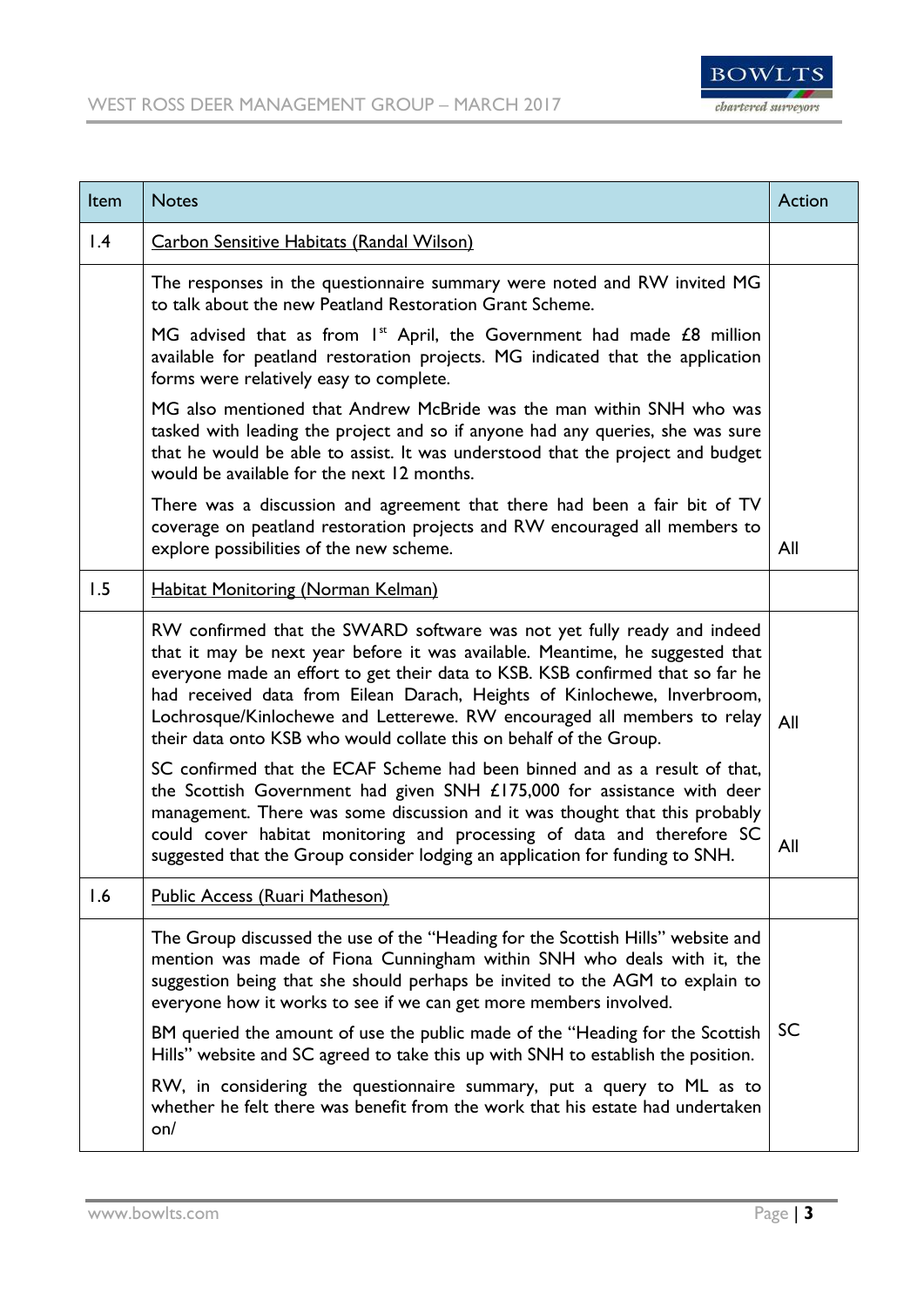

| Item            | <b>Notes</b>                                                                                                                                                                                                                                                                                                                                                                                                                                                                                                                                                                                                                                   | Action    |
|-----------------|------------------------------------------------------------------------------------------------------------------------------------------------------------------------------------------------------------------------------------------------------------------------------------------------------------------------------------------------------------------------------------------------------------------------------------------------------------------------------------------------------------------------------------------------------------------------------------------------------------------------------------------------|-----------|
| $\mathsf{I}$ .4 | <b>Carbon Sensitive Habitats (Randal Wilson)</b>                                                                                                                                                                                                                                                                                                                                                                                                                                                                                                                                                                                               |           |
|                 | The responses in the questionnaire summary were noted and RW invited MG<br>to talk about the new Peatland Restoration Grant Scheme.                                                                                                                                                                                                                                                                                                                                                                                                                                                                                                            |           |
|                 | MG advised that as from $Ist$ April, the Government had made $E8$ million<br>available for peatland restoration projects. MG indicated that the application<br>forms were relatively easy to complete.                                                                                                                                                                                                                                                                                                                                                                                                                                         |           |
|                 | MG also mentioned that Andrew McBride was the man within SNH who was<br>tasked with leading the project and so if anyone had any queries, she was sure<br>that he would be able to assist. It was understood that the project and budget<br>would be available for the next 12 months.                                                                                                                                                                                                                                                                                                                                                         |           |
|                 | There was a discussion and agreement that there had been a fair bit of TV<br>coverage on peatland restoration projects and RW encouraged all members to<br>explore possibilities of the new scheme.                                                                                                                                                                                                                                                                                                                                                                                                                                            | All       |
| 1.5             | <b>Habitat Monitoring (Norman Kelman)</b>                                                                                                                                                                                                                                                                                                                                                                                                                                                                                                                                                                                                      |           |
|                 | RW confirmed that the SWARD software was not yet fully ready and indeed<br>that it may be next year before it was available. Meantime, he suggested that<br>everyone made an effort to get their data to KSB. KSB confirmed that so far he<br>had received data from Eilean Darach, Heights of Kinlochewe, Inverbroom,<br>Lochrosque/Kinlochewe and Letterewe. RW encouraged all members to relay<br>their data onto KSB who would collate this on behalf of the Group.                                                                                                                                                                        | All       |
|                 | SC confirmed that the ECAF Scheme had been binned and as a result of that,<br>the Scottish Government had given SNH £175,000 for assistance with deer<br>management. There was some discussion and it was thought that this probably<br>could cover habitat monitoring and processing of data and therefore SC<br>suggested that the Group consider lodging an application for funding to SNH.                                                                                                                                                                                                                                                 | All       |
| 1.6             | <b>Public Access (Ruari Matheson)</b>                                                                                                                                                                                                                                                                                                                                                                                                                                                                                                                                                                                                          |           |
|                 | The Group discussed the use of the "Heading for the Scottish Hills" website and<br>mention was made of Fiona Cunningham within SNH who deals with it, the<br>suggestion being that she should perhaps be invited to the AGM to explain to<br>everyone how it works to see if we can get more members involved.<br>BM queried the amount of use the public made of the "Heading for the Scottish<br>Hills" website and SC agreed to take this up with SNH to establish the position.<br>RW, in considering the questionnaire summary, put a query to ML as to<br>whether he felt there was benefit from the work that his estate had undertaken | <b>SC</b> |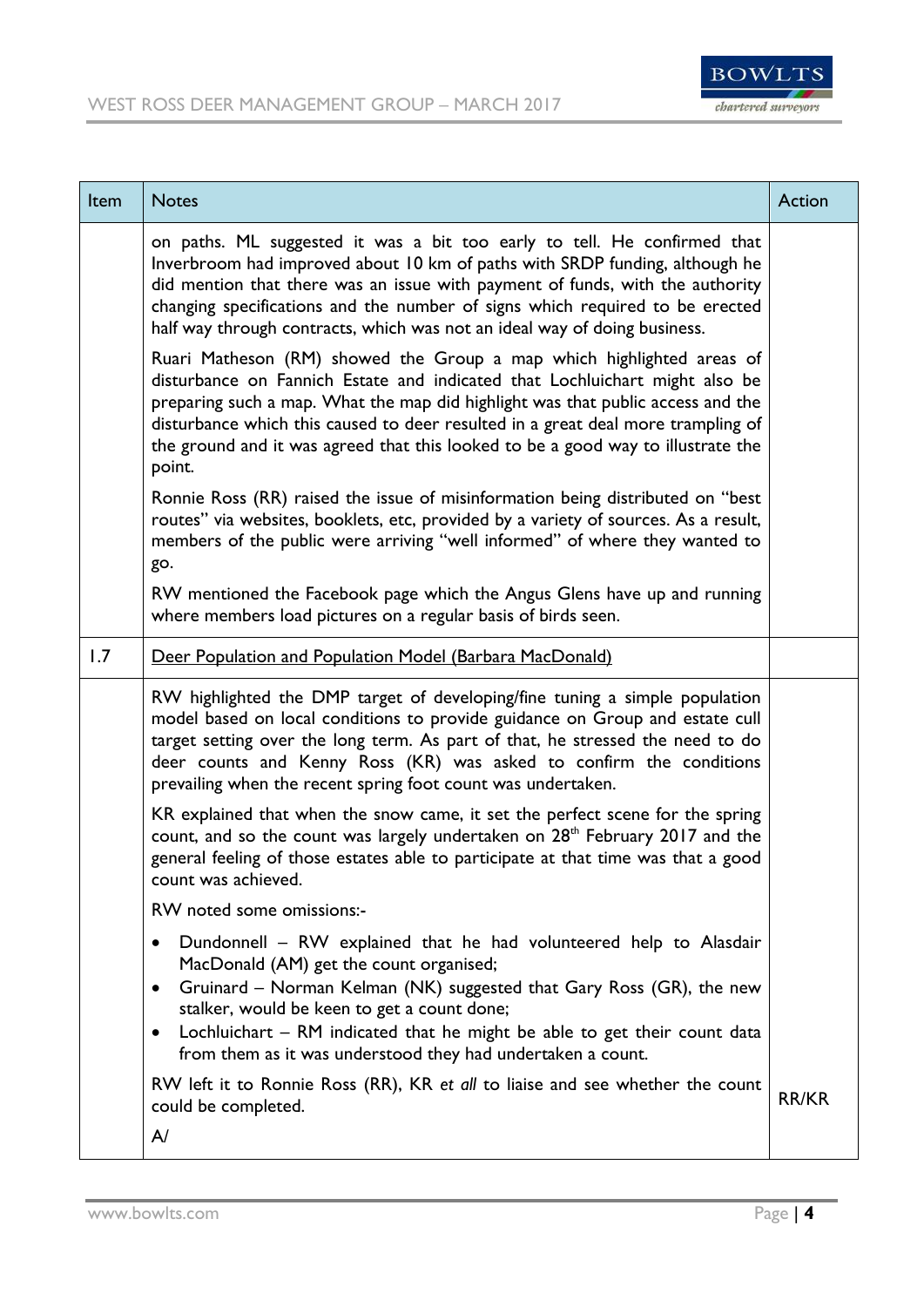

| Item | <b>Notes</b>                                                                                                                                                                                                                                                                                                                                                                                                              | Action |
|------|---------------------------------------------------------------------------------------------------------------------------------------------------------------------------------------------------------------------------------------------------------------------------------------------------------------------------------------------------------------------------------------------------------------------------|--------|
|      | on paths. ML suggested it was a bit too early to tell. He confirmed that<br>Inverbroom had improved about 10 km of paths with SRDP funding, although he<br>did mention that there was an issue with payment of funds, with the authority<br>changing specifications and the number of signs which required to be erected<br>half way through contracts, which was not an ideal way of doing business.                     |        |
|      | Ruari Matheson (RM) showed the Group a map which highlighted areas of<br>disturbance on Fannich Estate and indicated that Lochluichart might also be<br>preparing such a map. What the map did highlight was that public access and the<br>disturbance which this caused to deer resulted in a great deal more trampling of<br>the ground and it was agreed that this looked to be a good way to illustrate the<br>point. |        |
|      | Ronnie Ross (RR) raised the issue of misinformation being distributed on "best<br>routes" via websites, booklets, etc, provided by a variety of sources. As a result,<br>members of the public were arriving "well informed" of where they wanted to<br>go.                                                                                                                                                               |        |
|      | RW mentioned the Facebook page which the Angus Glens have up and running<br>where members load pictures on a regular basis of birds seen.                                                                                                                                                                                                                                                                                 |        |
| 1.7  | Deer Population and Population Model (Barbara MacDonald)                                                                                                                                                                                                                                                                                                                                                                  |        |
|      | RW highlighted the DMP target of developing/fine tuning a simple population<br>model based on local conditions to provide guidance on Group and estate cull<br>target setting over the long term. As part of that, he stressed the need to do<br>deer counts and Kenny Ross (KR) was asked to confirm the conditions<br>prevailing when the recent spring foot count was undertaken.                                      |        |
|      | KR explained that when the snow came, it set the perfect scene for the spring<br>count, and so the count was largely undertaken on 28 <sup>th</sup> February 2017 and the<br>general feeling of those estates able to participate at that time was that a good<br>count was achieved.                                                                                                                                     |        |
|      | RW noted some omissions:-                                                                                                                                                                                                                                                                                                                                                                                                 |        |
|      | Dundonnell - RW explained that he had volunteered help to Alasdair<br>٠<br>MacDonald (AM) get the count organised;<br>Gruinard - Norman Kelman (NK) suggested that Gary Ross (GR), the new<br>$\bullet$<br>stalker, would be keen to get a count done;<br>Lochluichart - RM indicated that he might be able to get their count data<br>$\bullet$<br>from them as it was understood they had undertaken a count.           |        |
|      | RW left it to Ronnie Ross (RR), KR et all to liaise and see whether the count<br>could be completed.<br>A/                                                                                                                                                                                                                                                                                                                | RR/KR  |
|      |                                                                                                                                                                                                                                                                                                                                                                                                                           |        |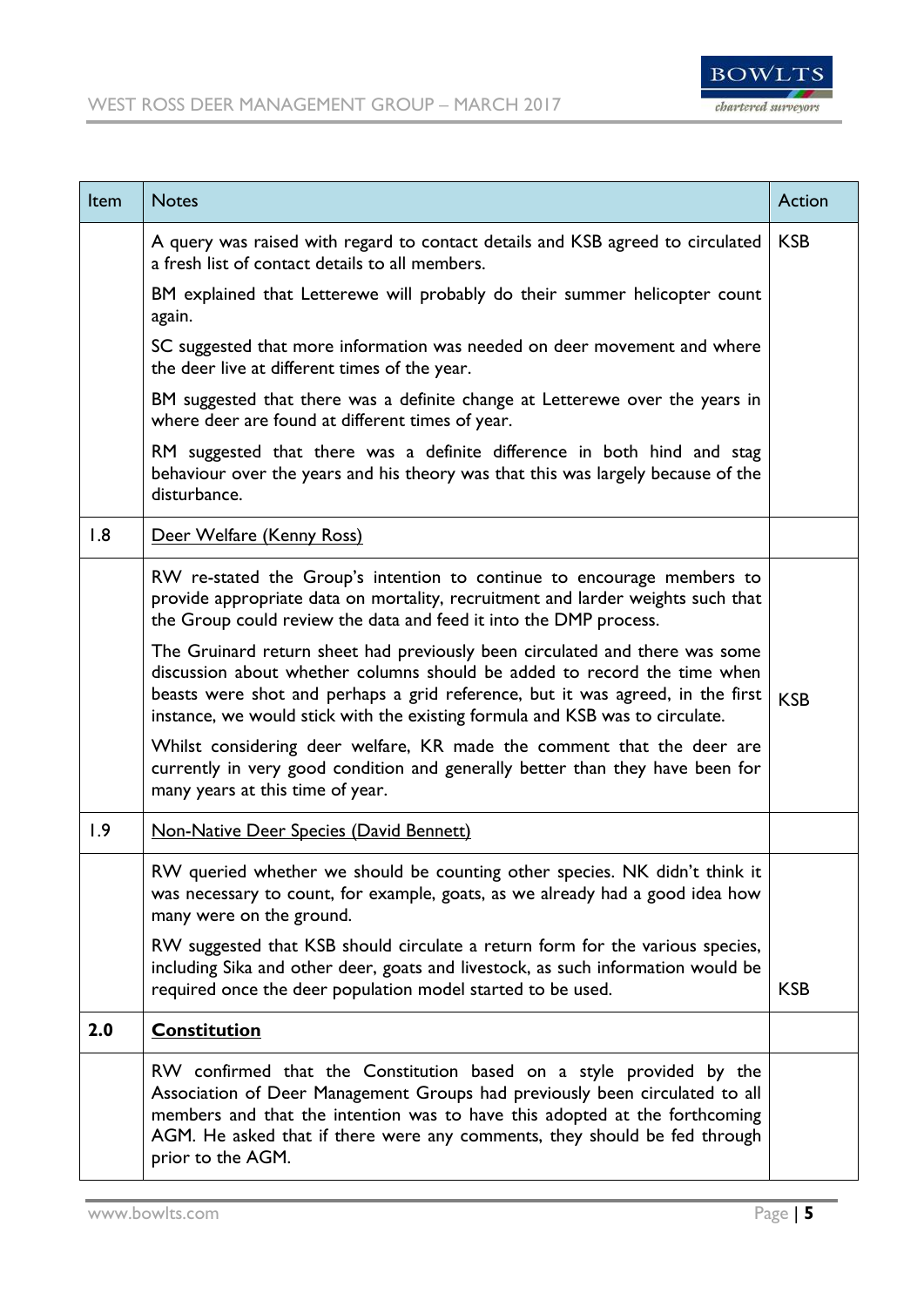

| Item | <b>Notes</b>                                                                                                                                                                                                                                                                                                                       | Action     |
|------|------------------------------------------------------------------------------------------------------------------------------------------------------------------------------------------------------------------------------------------------------------------------------------------------------------------------------------|------------|
|      | A query was raised with regard to contact details and KSB agreed to circulated<br>a fresh list of contact details to all members.                                                                                                                                                                                                  | <b>KSB</b> |
|      | BM explained that Letterewe will probably do their summer helicopter count<br>again.                                                                                                                                                                                                                                               |            |
|      | SC suggested that more information was needed on deer movement and where<br>the deer live at different times of the year.                                                                                                                                                                                                          |            |
|      | BM suggested that there was a definite change at Letterewe over the years in<br>where deer are found at different times of year.                                                                                                                                                                                                   |            |
|      | RM suggested that there was a definite difference in both hind and stag<br>behaviour over the years and his theory was that this was largely because of the<br>disturbance.                                                                                                                                                        |            |
| 1.8  | Deer Welfare (Kenny Ross)                                                                                                                                                                                                                                                                                                          |            |
|      | RW re-stated the Group's intention to continue to encourage members to<br>provide appropriate data on mortality, recruitment and larder weights such that<br>the Group could review the data and feed it into the DMP process.                                                                                                     |            |
|      | The Gruinard return sheet had previously been circulated and there was some<br>discussion about whether columns should be added to record the time when<br>beasts were shot and perhaps a grid reference, but it was agreed, in the first<br>instance, we would stick with the existing formula and KSB was to circulate.          | <b>KSB</b> |
|      | Whilst considering deer welfare, KR made the comment that the deer are<br>currently in very good condition and generally better than they have been for<br>many years at this time of year.                                                                                                                                        |            |
| 1.9  | <b>Non-Native Deer Species (David Bennett)</b>                                                                                                                                                                                                                                                                                     |            |
|      | RW queried whether we should be counting other species. NK didn't think it<br>was necessary to count, for example, goats, as we already had a good idea how<br>many were on the ground.                                                                                                                                            |            |
|      | RW suggested that KSB should circulate a return form for the various species,<br>including Sika and other deer, goats and livestock, as such information would be<br>required once the deer population model started to be used.                                                                                                   | <b>KSB</b> |
| 2.0  | <b>Constitution</b>                                                                                                                                                                                                                                                                                                                |            |
|      | RW confirmed that the Constitution based on a style provided by the<br>Association of Deer Management Groups had previously been circulated to all<br>members and that the intention was to have this adopted at the forthcoming<br>AGM. He asked that if there were any comments, they should be fed through<br>prior to the AGM. |            |

÷